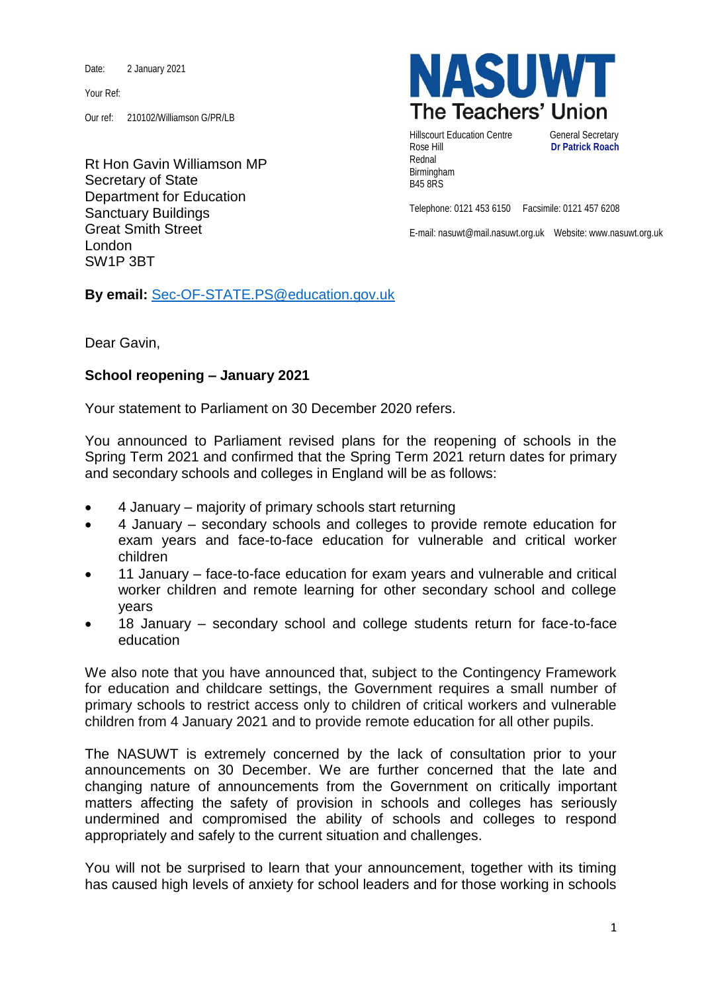Date: 2 January 2021

Your Ref:

Our ref: 210102/Williamson G/PR/LB

Rt Hon Gavin Williamson MP Secretary of State Department for Education Sanctuary Buildings Great Smith Street London SW1P 3BT

**NASUWT** The Teachers' Union

Hillscourt Education Centre **General Secretary** Rose Hill **Dr Patrick Roach** Rednal Birmingham B45 8RS

Telephone: 0121 453 6150 Facsimile: 0121 457 6208

E-mail: nasuwt@mail.nasuwt.org.uk Website: www.nasuwt.org.uk

**By email:** [Sec-OF-STATE.PS@education.gov.uk](mailto:Sec-OF-STATE.PS@education.gov.uk)

Dear Gavin,

## **School reopening – January 2021**

Your statement to Parliament on 30 December 2020 refers.

You announced to Parliament revised plans for the reopening of schools in the Spring Term 2021 and confirmed that the Spring Term 2021 return dates for primary and secondary schools and colleges in England will be as follows:

- 4 January majority of primary schools start returning
- 4 January secondary schools and colleges to provide remote education for exam years and face-to-face education for [vulnerable and critical](https://protect-eu.mimecast.com/s/pm-dCW7L1uL265fmFB6N?domain=gov.uk) worker [children](https://protect-eu.mimecast.com/s/pm-dCW7L1uL265fmFB6N?domain=gov.uk)
- 11 January face-to-face education for exam years and vulnerable and critical worker children and remote learning for other secondary school and college years
- 18 January secondary school and college students return for face-to-face education

We also note that you have announced that, subject to the Contingency Framework for education and childcare settings, the Government requires a small number of primary schools to restrict access only to children of critical workers and vulnerable children from 4 January 2021 and to provide remote education for all other pupils.

The NASUWT is extremely concerned by the lack of consultation prior to your announcements on 30 December. We are further concerned that the late and changing nature of announcements from the Government on critically important matters affecting the safety of provision in schools and colleges has seriously undermined and compromised the ability of schools and colleges to respond appropriately and safely to the current situation and challenges.

You will not be surprised to learn that your announcement, together with its timing has caused high levels of anxiety for school leaders and for those working in schools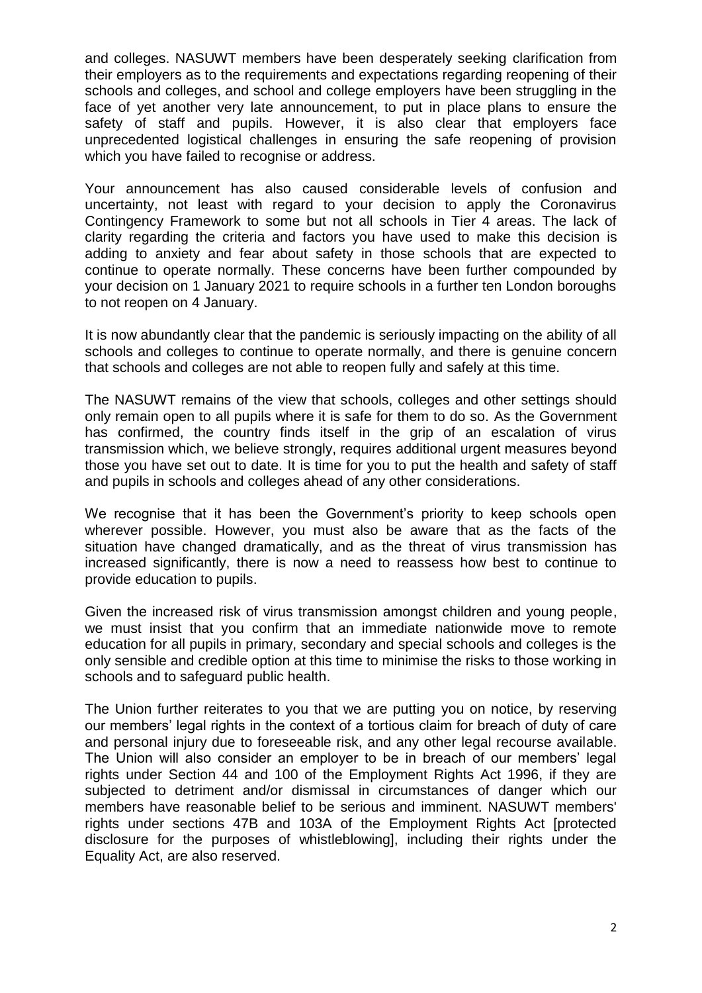and colleges. NASUWT members have been desperately seeking clarification from their employers as to the requirements and expectations regarding reopening of their schools and colleges, and school and college employers have been struggling in the face of yet another very late announcement, to put in place plans to ensure the safety of staff and pupils. However, it is also clear that employers face unprecedented logistical challenges in ensuring the safe reopening of provision which you have failed to recognise or address.

Your announcement has also caused considerable levels of confusion and uncertainty, not least with regard to your decision to apply the Coronavirus Contingency Framework to some but not all schools in Tier 4 areas. The lack of clarity regarding the criteria and factors you have used to make this decision is adding to anxiety and fear about safety in those schools that are expected to continue to operate normally. These concerns have been further compounded by your decision on 1 January 2021 to require schools in a further ten London boroughs to not reopen on 4 January.

It is now abundantly clear that the pandemic is seriously impacting on the ability of all schools and colleges to continue to operate normally, and there is genuine concern that schools and colleges are not able to reopen fully and safely at this time.

The NASUWT remains of the view that schools, colleges and other settings should only remain open to all pupils where it is safe for them to do so. As the Government has confirmed, the country finds itself in the grip of an escalation of virus transmission which, we believe strongly, requires additional urgent measures beyond those you have set out to date. It is time for you to put the health and safety of staff and pupils in schools and colleges ahead of any other considerations.

We recognise that it has been the Government's priority to keep schools open wherever possible. However, you must also be aware that as the facts of the situation have changed dramatically, and as the threat of virus transmission has increased significantly, there is now a need to reassess how best to continue to provide education to pupils.

Given the increased risk of virus transmission amongst children and young people, we must insist that you confirm that an immediate nationwide move to remote education for all pupils in primary, secondary and special schools and colleges is the only sensible and credible option at this time to minimise the risks to those working in schools and to safeguard public health.

The Union further reiterates to you that we are putting you on notice, by reserving our members' legal rights in the context of a tortious claim for breach of duty of care and personal injury due to foreseeable risk, and any other legal recourse available. The Union will also consider an employer to be in breach of our members' legal rights under Section 44 and 100 of the Employment Rights Act 1996, if they are subjected to detriment and/or dismissal in circumstances of danger which our members have reasonable belief to be serious and imminent. NASUWT members' rights under sections 47B and 103A of the Employment Rights Act [protected disclosure for the purposes of whistleblowing], including their rights under the Equality Act, are also reserved.